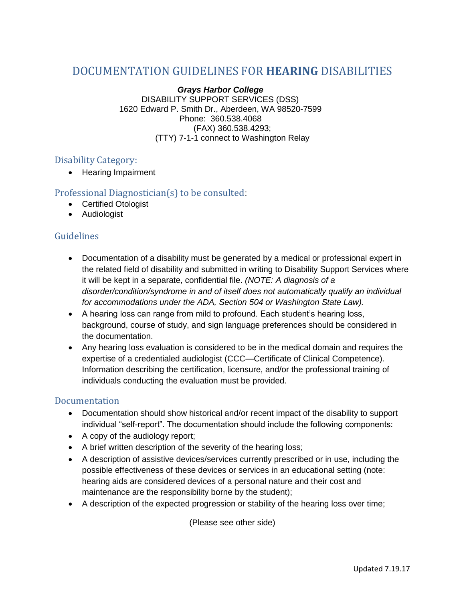# DOCUMENTATION GUIDELINES FOR **HEARING** DISABILITIES

*Grays Harbor College* DISABILITY SUPPORT SERVICES (DSS) 1620 Edward P. Smith Dr., Aberdeen, WA 98520-7599 Phone: 360.538.4068 (FAX) 360.538.4293; (TTY) 7-1-1 connect to Washington Relay

#### Disability Category:

• Hearing Impairment

## Professional Diagnostician(s) to be consulted:

- Certified Otologist
- Audiologist

## Guidelines

- Documentation of a disability must be generated by a medical or professional expert in the related field of disability and submitted in writing to Disability Support Services where it will be kept in a separate, confidential file. *(NOTE: A diagnosis of a disorder/condition/syndrome in and of itself does not automatically qualify an individual for accommodations under the ADA, Section 504 or Washington State Law).*
- A hearing loss can range from mild to profound. Each student's hearing loss, background, course of study, and sign language preferences should be considered in the documentation.
- Any hearing loss evaluation is considered to be in the medical domain and requires the expertise of a credentialed audiologist (CCC—Certificate of Clinical Competence). Information describing the certification, licensure, and/or the professional training of individuals conducting the evaluation must be provided.

#### Documentation

- Documentation should show historical and/or recent impact of the disability to support individual "self-report". The documentation should include the following components:
- A copy of the audiology report;
- A brief written description of the severity of the hearing loss;
- A description of assistive devices/services currently prescribed or in use, including the possible effectiveness of these devices or services in an educational setting (note: hearing aids are considered devices of a personal nature and their cost and maintenance are the responsibility borne by the student);
- A description of the expected progression or stability of the hearing loss over time;

(Please see other side)